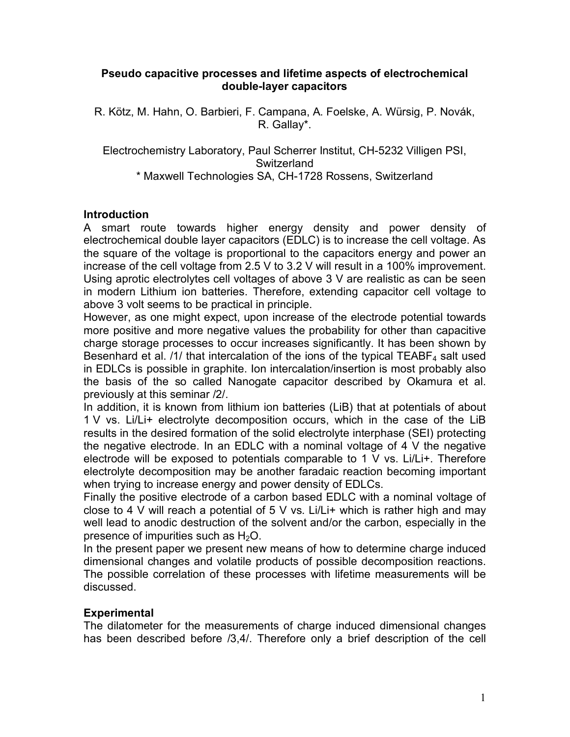### **Pseudo capacitive processes and lifetime aspects of electrochemical double-layer capacitors**

R. Kötz, M. Hahn, O. Barbieri, F. Campana, A. Foelske, A. Würsig, P. Novák, R. Gallay\*.

Electrochemistry Laboratory, Paul Scherrer Institut, CH-5232 Villigen PSI, **Switzerland** \* Maxwell Technologies SA, CH-1728 Rossens, Switzerland

### **Introduction**

A smart route towards higher energy density and power density of electrochemical double layer capacitors (EDLC) is to increase the cell voltage. As the square of the voltage is proportional to the capacitors energy and power an increase of the cell voltage from 2.5 V to 3.2 V will result in a 100% improvement. Using aprotic electrolytes cell voltages of above 3 V are realistic as can be seen in modern Lithium ion batteries. Therefore, extending capacitor cell voltage to above 3 volt seems to be practical in principle.

However, as one might expect, upon increase of the electrode potential towards more positive and more negative values the probability for other than capacitive charge storage processes to occur increases significantly. It has been shown by Besenhard et al.  $/1/$  that intercalation of the ions of the typical TEABF<sub>4</sub> salt used in EDLCs is possible in graphite. Ion intercalation/insertion is most probably also the basis of the so called Nanogate capacitor described by Okamura et al. previously at this seminar /2/.

In addition, it is known from lithium ion batteries (LiB) that at potentials of about 1 V vs. Li/Li+ electrolyte decomposition occurs, which in the case of the LiB results in the desired formation of the solid electrolyte interphase (SEI) protecting the negative electrode. In an EDLC with a nominal voltage of 4 V the negative electrode will be exposed to potentials comparable to 1 V vs. Li/Li+. Therefore electrolyte decomposition may be another faradaic reaction becoming important when trying to increase energy and power density of EDLCs.

Finally the positive electrode of a carbon based EDLC with a nominal voltage of close to 4 V will reach a potential of 5 V vs. Li/Li+ which is rather high and may well lead to anodic destruction of the solvent and/or the carbon, especially in the presence of impurities such as  $H_2O$ .

In the present paper we present new means of how to determine charge induced dimensional changes and volatile products of possible decomposition reactions. The possible correlation of these processes with lifetime measurements will be discussed.

### **Experimental**

The dilatometer for the measurements of charge induced dimensional changes has been described before /3,4/. Therefore only a brief description of the cell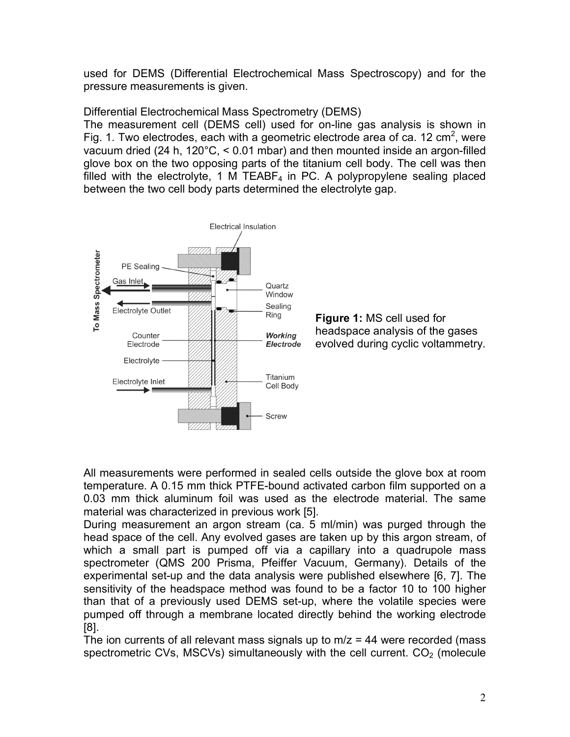used for DEMS (Differential Electrochemical Mass Spectroscopy) and for the pressure measurements is given.

Differential Electrochemical Mass Spectrometry (DEMS)

The measurement cell (DEMS cell) used for on-line gas analysis is shown in Fig. 1. Two electrodes, each with a geometric electrode area of ca. 12 cm<sup>2</sup>, were vacuum dried (24 h, 120°C, < 0.01 mbar) and then mounted inside an argon-filled glove box on the two opposing parts of the titanium cell body. The cell was then filled with the electrolyte, 1 M TEABF<sub>4</sub> in PC. A polypropylene sealing placed between the two cell body parts determined the electrolyte gap.



**Figure 1:** MS cell used for headspace analysis of the gases evolved during cyclic voltammetry.

All measurements were performed in sealed cells outside the glove box at room temperature. A 0.15 mm thick PTFE-bound activated carbon film supported on a 0.03 mm thick aluminum foil was used as the electrode material. The same material was characterized in previous work [5].

During measurement an argon stream (ca. 5 ml/min) was purged through the head space of the cell. Any evolved gases are taken up by this argon stream, of which a small part is pumped off via a capillary into a quadrupole mass spectrometer (QMS 200 Prisma, Pfeiffer Vacuum, Germany). Details of the experimental set-up and the data analysis were published elsewhere [6, 7]. The sensitivity of the headspace method was found to be a factor 10 to 100 higher than that of a previously used DEMS set-up, where the volatile species were pumped off through a membrane located directly behind the working electrode [8].

The ion currents of all relevant mass signals up to  $m/z = 44$  were recorded (mass spectrometric CVs, MSCVs) simultaneously with the cell current.  $CO<sub>2</sub>$  (molecule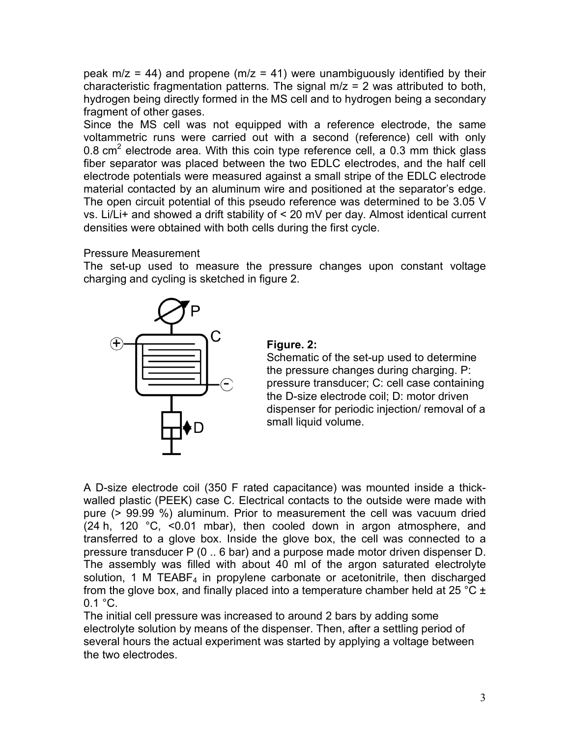peak  $m/z = 44$ ) and propene ( $m/z = 41$ ) were unambiguously identified by their characteristic fragmentation patterns. The signal  $m/z = 2$  was attributed to both, hydrogen being directly formed in the MS cell and to hydrogen being a secondary fragment of other gases.

Since the MS cell was not equipped with a reference electrode, the same voltammetric runs were carried out with a second (reference) cell with only 0.8 cm<sup>2</sup> electrode area. With this coin type reference cell, a 0.3 mm thick glass fiber separator was placed between the two EDLC electrodes, and the half cell electrode potentials were measured against a small stripe of the EDLC electrode material contacted by an aluminum wire and positioned at the separator's edge. The open circuit potential of this pseudo reference was determined to be 3.05 V vs. Li/Li+ and showed a drift stability of < 20 mV per day. Almost identical current densities were obtained with both cells during the first cycle.

## Pressure Measurement

The set-up used to measure the pressure changes upon constant voltage charging and cycling is sketched in figure 2.



## **Figure. 2:**

Schematic of the set-up used to determine the pressure changes during charging. P: pressure transducer; C: cell case containing the D-size electrode coil; D: motor driven dispenser for periodic injection/ removal of a small liquid volume.

A D-size electrode coil (350 F rated capacitance) was mounted inside a thickwalled plastic (PEEK) case C. Electrical contacts to the outside were made with pure (> 99.99 %) aluminum. Prior to measurement the cell was vacuum dried (24 h, 120 °C, <0.01 mbar), then cooled down in argon atmosphere, and transferred to a glove box. Inside the glove box, the cell was connected to a pressure transducer P (0 .. 6 bar) and a purpose made motor driven dispenser D. The assembly was filled with about 40 ml of the argon saturated electrolyte solution, 1 M TEABF<sub>4</sub> in propylene carbonate or acetonitrile, then discharged from the glove box, and finally placed into a temperature chamber held at 25  $^{\circ}$ C  $\pm$  $0.1 \degree$ C.

The initial cell pressure was increased to around 2 bars by adding some electrolyte solution by means of the dispenser. Then, after a settling period of several hours the actual experiment was started by applying a voltage between the two electrodes.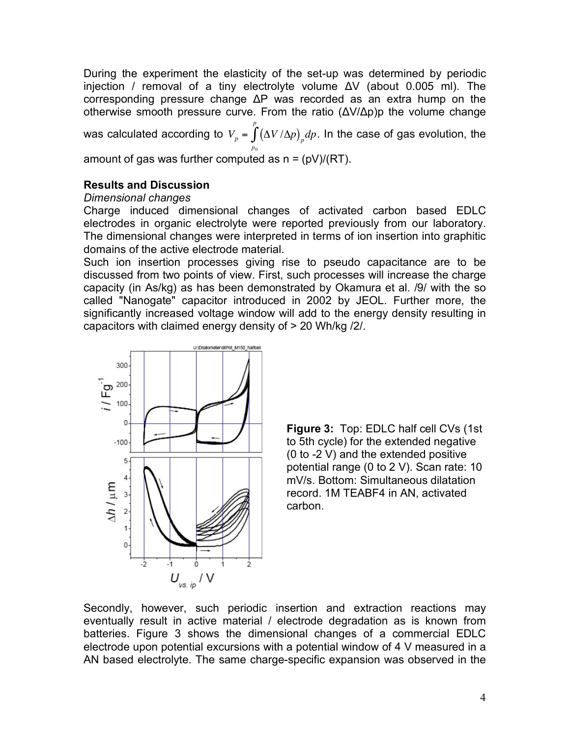During the experiment the elasticity of the set-up was determined by periodic injection / removal of a tiny electrolyte volume ΔV (about 0.005 ml). The corresponding pressure change ΔP was recorded as an extra hump on the otherwise smooth pressure curve. From the ratio (ΔV/Δp)p the volume change

was calculated according to  $\left. V_{_{P}} \right. = \int {\left( {\Delta V / \Delta p} \right)_p }$ *p*0 *p*  $\int \! \left( \Delta V \, / \Delta p \right)_p \! dp$ . In the case of gas evolution, the

amount of gas was further computed as  $n = (pV)/(RT)$ .

# **Results and Discussion**

# ! *Dimensional changes*

Charge induced dimensional changes of activated carbon based EDLC electrodes in organic electrolyte were reported previously from our laboratory. The dimensional changes were interpreted in terms of ion insertion into graphitic domains of the active electrode material.

Such ion insertion processes giving rise to pseudo capacitance are to be discussed from two points of view. First, such processes will increase the charge capacity (in As/kg) as has been demonstrated by Okamura et al. /9/ with the so called "Nanogate" capacitor introduced in 2002 by JEOL. Further more, the significantly increased voltage window will add to the energy density resulting in capacitors with claimed energy density of > 20 Wh/kg /2/.





Secondly, however, such periodic insertion and extraction reactions may eventually result in active material / electrode degradation as is known from batteries. Figure 3 shows the dimensional changes of a commercial EDLC electrode upon potential excursions with a potential window of 4 V measured in a AN based electrolyte. The same charge-specific expansion was observed in the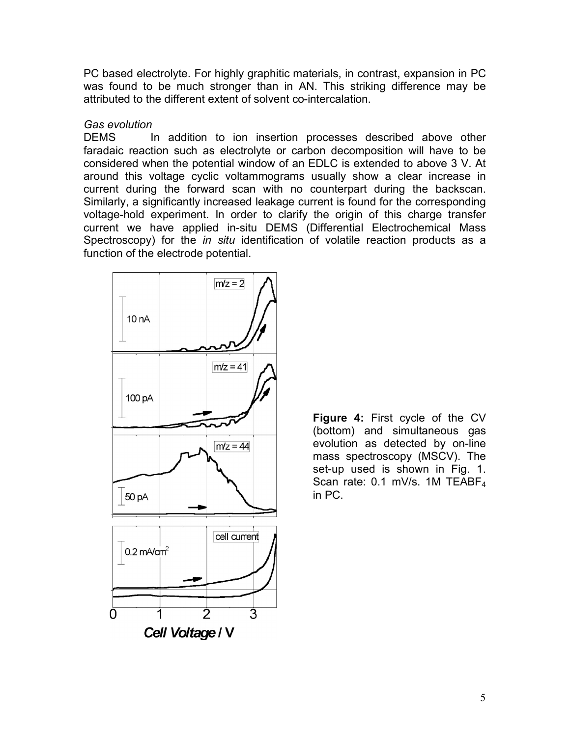PC based electrolyte. For highly graphitic materials, in contrast, expansion in PC was found to be much stronger than in AN. This striking difference may be attributed to the different extent of solvent co-intercalation.

### *Gas evolution*

DEMS In addition to ion insertion processes described above other faradaic reaction such as electrolyte or carbon decomposition will have to be considered when the potential window of an EDLC is extended to above 3 V. At around this voltage cyclic voltammograms usually show a clear increase in current during the forward scan with no counterpart during the backscan. Similarly, a significantly increased leakage current is found for the corresponding voltage-hold experiment. In order to clarify the origin of this charge transfer current we have applied in-situ DEMS (Differential Electrochemical Mass Spectroscopy) for the *in situ* identification of volatile reaction products as a function of the electrode potential.



**Figure 4:** First cycle of the CV (bottom) and simultaneous gas evolution as detected by on-line mass spectroscopy (MSCV). The set-up used is shown in Fig. 1. Scan rate: 0.1 mV/s. 1M TEABF<sub>4</sub> in PC.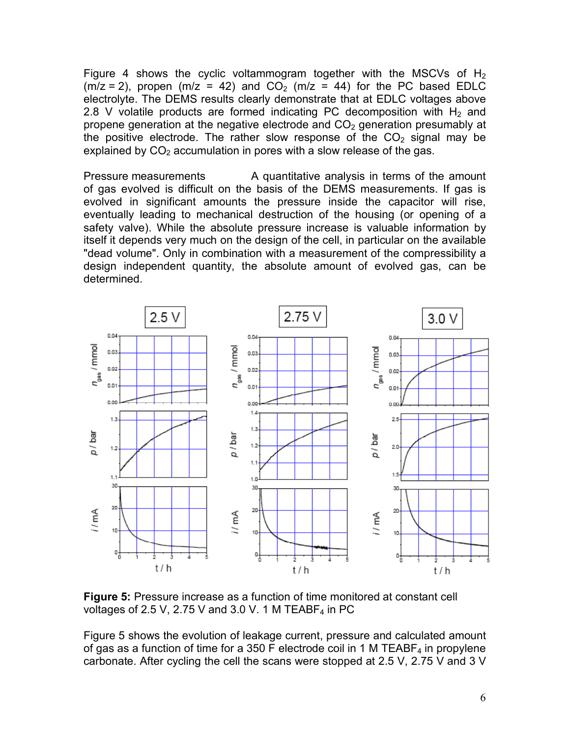Figure 4 shows the cyclic voltammogram together with the MSCVs of  $H_2$  $(m/z = 2)$ , propen  $(m/z = 42)$  and  $CO<sub>2</sub>$   $(m/z = 44)$  for the PC based EDLC electrolyte. The DEMS results clearly demonstrate that at EDLC voltages above 2.8 V volatile products are formed indicating PC decomposition with  $H_2$  and propene generation at the negative electrode and  $CO<sub>2</sub>$  generation presumably at the positive electrode. The rather slow response of the  $CO<sub>2</sub>$  signal may be explained by  $CO<sub>2</sub>$  accumulation in pores with a slow release of the gas.

Pressure measurements A quantitative analysis in terms of the amount of gas evolved is difficult on the basis of the DEMS measurements. If gas is evolved in significant amounts the pressure inside the capacitor will rise, eventually leading to mechanical destruction of the housing (or opening of a safety valve). While the absolute pressure increase is valuable information by itself it depends very much on the design of the cell, in particular on the available "dead volume". Only in combination with a measurement of the compressibility a design independent quantity, the absolute amount of evolved gas, can be determined.



**Figure 5:** Pressure increase as a function of time monitored at constant cell voltages of 2.5 V, 2.75 V and 3.0 V. 1 M TEABF<sub>4</sub> in PC

Figure 5 shows the evolution of leakage current, pressure and calculated amount of gas as a function of time for a 350 F electrode coil in 1 M TEABF<sub>4</sub> in propylene carbonate. After cycling the cell the scans were stopped at 2.5 V, 2.75 V and 3 V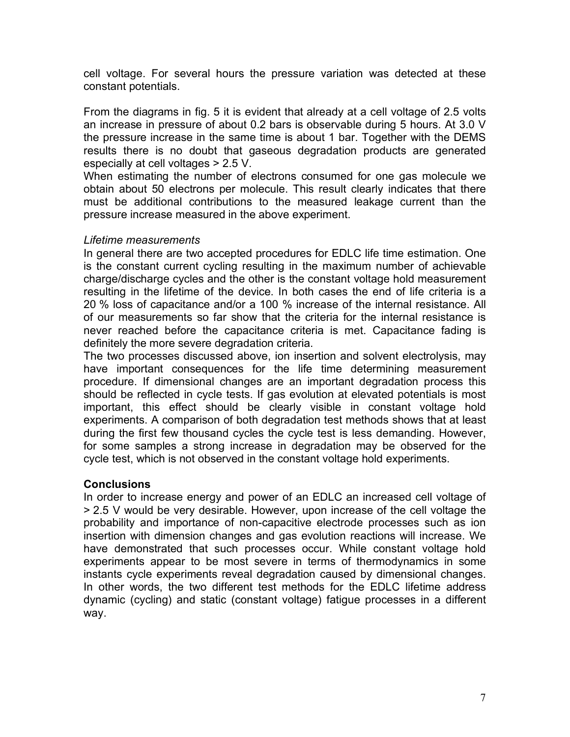cell voltage. For several hours the pressure variation was detected at these constant potentials.

From the diagrams in fig. 5 it is evident that already at a cell voltage of 2.5 volts an increase in pressure of about 0.2 bars is observable during 5 hours. At 3.0 V the pressure increase in the same time is about 1 bar. Together with the DEMS results there is no doubt that gaseous degradation products are generated especially at cell voltages > 2.5 V.

When estimating the number of electrons consumed for one gas molecule we obtain about 50 electrons per molecule. This result clearly indicates that there must be additional contributions to the measured leakage current than the pressure increase measured in the above experiment.

### *Lifetime measurements*

In general there are two accepted procedures for EDLC life time estimation. One is the constant current cycling resulting in the maximum number of achievable charge/discharge cycles and the other is the constant voltage hold measurement resulting in the lifetime of the device. In both cases the end of life criteria is a 20 % loss of capacitance and/or a 100 % increase of the internal resistance. All of our measurements so far show that the criteria for the internal resistance is never reached before the capacitance criteria is met. Capacitance fading is definitely the more severe degradation criteria.

The two processes discussed above, ion insertion and solvent electrolysis, may have important consequences for the life time determining measurement procedure. If dimensional changes are an important degradation process this should be reflected in cycle tests. If gas evolution at elevated potentials is most important, this effect should be clearly visible in constant voltage hold experiments. A comparison of both degradation test methods shows that at least during the first few thousand cycles the cycle test is less demanding. However, for some samples a strong increase in degradation may be observed for the cycle test, which is not observed in the constant voltage hold experiments.

### **Conclusions**

In order to increase energy and power of an EDLC an increased cell voltage of > 2.5 V would be very desirable. However, upon increase of the cell voltage the probability and importance of non-capacitive electrode processes such as ion insertion with dimension changes and gas evolution reactions will increase. We have demonstrated that such processes occur. While constant voltage hold experiments appear to be most severe in terms of thermodynamics in some instants cycle experiments reveal degradation caused by dimensional changes. In other words, the two different test methods for the EDLC lifetime address dynamic (cycling) and static (constant voltage) fatigue processes in a different way.